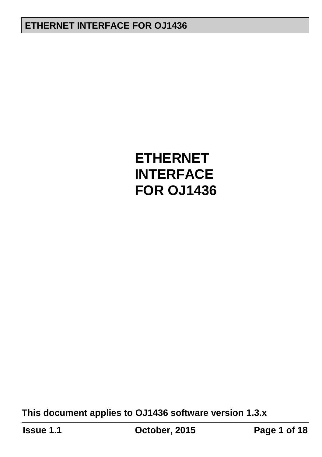**This document applies to OJ1436 software version 1.3.x**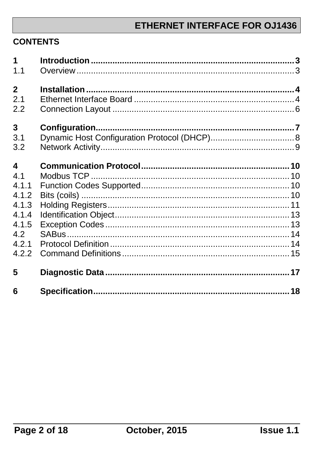#### **CONTENTS**

| $\overline{1}$          |  |
|-------------------------|--|
| 1.1                     |  |
| $\overline{2}$          |  |
| 2.1                     |  |
| 2.2                     |  |
| 3                       |  |
| 3.1                     |  |
| 3.2                     |  |
| $\overline{\mathbf{4}}$ |  |
| 4 <sub>1</sub>          |  |
| 4.1.1                   |  |
| 4.1.2                   |  |
| 4.1.3                   |  |
| 4.1.4                   |  |
| 4.1.5                   |  |
| 4.2                     |  |
| 4.2.1                   |  |
| 4.2.2                   |  |
| 5                       |  |
| 6                       |  |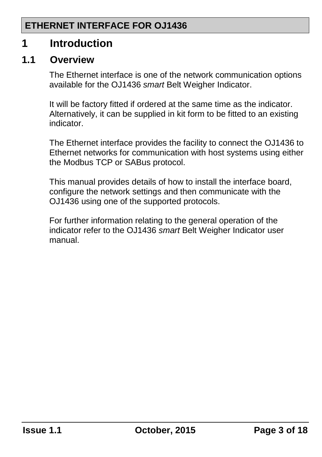### <span id="page-2-0"></span>**1 Introduction**

#### <span id="page-2-1"></span>**1.1 Overview**

The Ethernet interface is one of the network communication options available for the OJ1436 *smart* Belt Weigher Indicator.

It will be factory fitted if ordered at the same time as the indicator. Alternatively, it can be supplied in kit form to be fitted to an existing indicator.

The Ethernet interface provides the facility to connect the OJ1436 to Ethernet networks for communication with host systems using either the Modbus TCP or SABus protocol.

This manual provides details of how to install the interface board, configure the network settings and then communicate with the OJ1436 using one of the supported protocols.

For further information relating to the general operation of the indicator refer to the OJ1436 *smart* Belt Weigher Indicator user manual.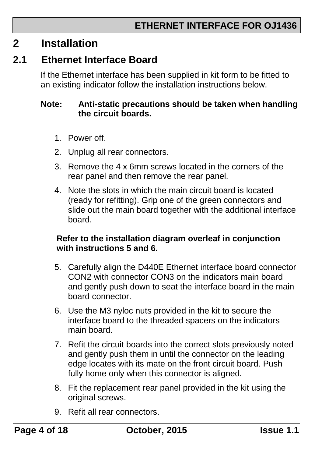### <span id="page-3-0"></span>**2 Installation**

### <span id="page-3-1"></span>**2.1 Ethernet Interface Board**

If the Ethernet interface has been supplied in kit form to be fitted to an existing indicator follow the installation instructions below.

#### **Note: Anti-static precautions should be taken when handling the circuit boards.**

- 1. Power off.
- 2. Unplug all rear connectors.
- 3. Remove the 4 x 6mm screws located in the corners of the rear panel and then remove the rear panel.
- 4. Note the slots in which the main circuit board is located (ready for refitting). Grip one of the green connectors and slide out the main board together with the additional interface board.

#### **Refer to the installation diagram overleaf in conjunction with instructions 5 and 6.**

- 5. Carefully align the D440E Ethernet interface board connector CON2 with connector CON3 on the indicators main board and gently push down to seat the interface board in the main board connector.
- 6. Use the M3 nyloc nuts provided in the kit to secure the interface board to the threaded spacers on the indicators main board.
- 7. Refit the circuit boards into the correct slots previously noted and gently push them in until the connector on the leading edge locates with its mate on the front circuit board. Push fully home only when this connector is aligned.
- 8. Fit the replacement rear panel provided in the kit using the original screws.
- 9. Refit all rear connectors.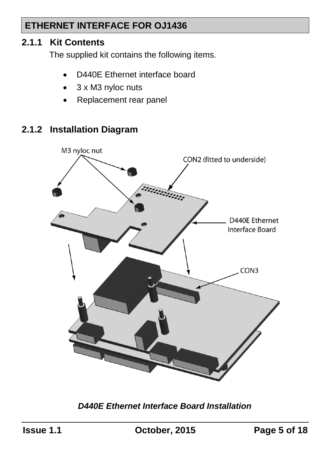#### **2.1.1 Kit Contents**

The supplied kit contains the following items.

- D440E Ethernet interface board
- 3 x M3 nyloc nuts
- Replacement rear panel

### **2.1.2 Installation Diagram**



*D440E Ethernet Interface Board Installation*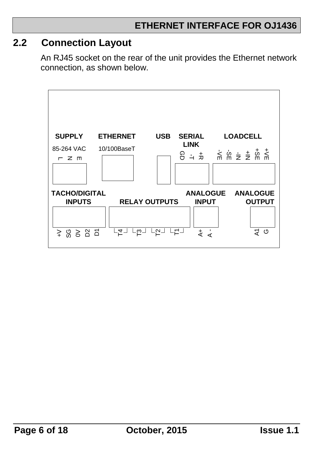### <span id="page-5-0"></span>**2.2 Connection Layout**

An RJ45 socket on the rear of the unit provides the Ethernet network connection, as shown below.

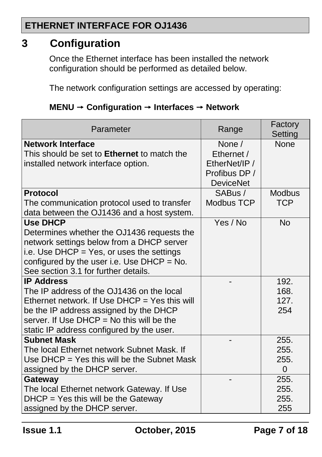### <span id="page-6-0"></span>**3 Configuration**

Once the Ethernet interface has been installed the network configuration should be performed as detailed below.

The network configuration settings are accessed by operating:

| Parameter                                                                                               | Range                                   | Factory<br>Setting |
|---------------------------------------------------------------------------------------------------------|-----------------------------------------|--------------------|
| Network Interface<br>This should be set to Ethernet to match the<br>installed network interface option. | None $/$<br>Ethernet /<br>EtherNet/IP / | None               |
|                                                                                                         | Profibus DP /<br><b>DeviceNet</b>       |                    |
| <b>Protocol</b>                                                                                         | SABus /                                 | <b>Modbus</b>      |
| The communication protocol used to transfer<br>data between the OJ1436 and a host system.               | Modbus TCP                              | <b>TCP</b>         |
| <b>Use DHCP</b>                                                                                         | Yes / No                                | <b>No</b>          |
| Determines whether the OJ1436 requests the<br>network settings below from a DHCP server                 |                                         |                    |
| i.e. Use DHCP = Yes, or uses the settings                                                               |                                         |                    |
| configured by the user i.e. Use $DHCP = No$ .<br>See section 3.1 for further details.                   |                                         |                    |
| <b>IP Address</b>                                                                                       |                                         | 192.               |
| The IP address of the OJ1436 on the local                                                               |                                         | 168.               |
| Ethernet network. If Use DHCP = Yes this will                                                           |                                         | 127.               |
| be the IP address assigned by the DHCP                                                                  |                                         | 254                |
| server. If Use $DHCP = No$ this will be the                                                             |                                         |                    |
| static IP address configured by the user.                                                               |                                         |                    |
| <b>Subnet Mask</b>                                                                                      |                                         | 255.               |
| The local Ethernet network Subnet Mask. If                                                              |                                         | 255.               |
| Use $DHCP = Yes$ this will be the Subnet Mask                                                           |                                         | 255.               |
| assigned by the DHCP server.                                                                            |                                         | 0                  |
| Gateway                                                                                                 |                                         | 255.               |
| The local Ethernet network Gateway. If Use                                                              |                                         | 255.               |
| $DHCP = Yes$ this will be the Gateway                                                                   |                                         | 255.               |
| assigned by the DHCP server.                                                                            |                                         | 255                |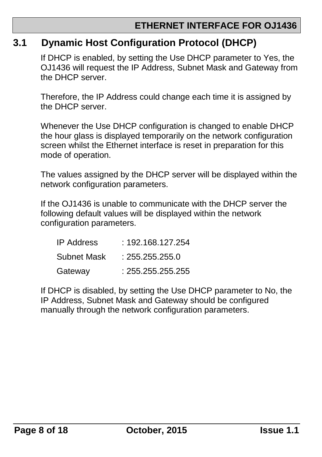### <span id="page-7-0"></span>**3.1 Dynamic Host Configuration Protocol (DHCP)**

If DHCP is enabled, by setting the Use DHCP parameter to Yes, the OJ1436 will request the IP Address, Subnet Mask and Gateway from the DHCP server.

Therefore, the IP Address could change each time it is assigned by the DHCP server.

Whenever the Use DHCP configuration is changed to enable DHCP the hour glass is displayed temporarily on the network configuration screen whilst the Ethernet interface is reset in preparation for this mode of operation.

The values assigned by the DHCP server will be displayed within the network configuration parameters.

If the OJ1436 is unable to communicate with the DHCP server the following default values will be displayed within the network configuration parameters.

| IP Address  | : 192.168.127.254 |
|-------------|-------------------|
| Subnet Mask | : 255.255.255.0   |
| Gateway     | : 255.255.255.255 |

If DHCP is disabled, by setting the Use DHCP parameter to No, the IP Address, Subnet Mask and Gateway should be configured manually through the network configuration parameters.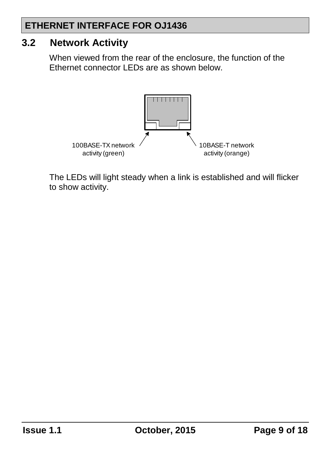### <span id="page-8-0"></span>**3.2 Network Activity**

When viewed from the rear of the enclosure, the function of the Ethernet connector LEDs are as shown below.



The LEDs will light steady when a link is established and will flicker to show activity.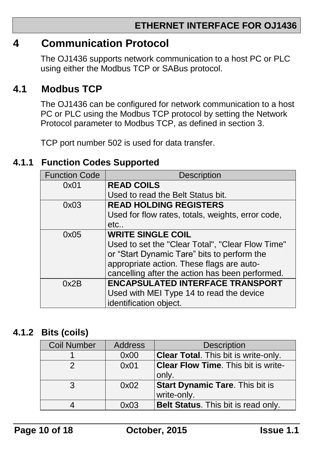### <span id="page-9-0"></span>**4 Communication Protocol**

The OJ1436 supports network communication to a host PC or PLC using either the Modbus TCP or SABus protocol.

### <span id="page-9-1"></span>**4.1 Modbus TCP**

The OJ1436 can be configured for network communication to a host PC or PLC using the Modbus TCP protocol by setting the Network Protocol parameter to Modbus TCP, as defined in section [3.](#page-6-0)

TCP port number 502 is used for data transfer.

#### <span id="page-9-2"></span>**4.1.1 Function Codes Supported**

| <b>Function Code</b> | Description                                       |
|----------------------|---------------------------------------------------|
| 0x01                 | <b>READ COILS</b>                                 |
|                      | Used to read the Belt Status bit.                 |
| 0x03                 | <b>READ HOLDING REGISTERS</b>                     |
|                      | Used for flow rates, totals, weights, error code, |
|                      | etc                                               |
| 0x05                 | <b>WRITE SINGLE COIL</b>                          |
|                      | Used to set the "Clear Total", "Clear Flow Time"  |
|                      | or "Start Dynamic Tare" bits to perform the       |
|                      | appropriate action. These flags are auto-         |
|                      | cancelling after the action has been performed.   |
| 0x2B                 | <b>ENCAPSULATED INTERFACE TRANSPORT</b>           |
|                      | Used with MEI Type 14 to read the device          |
|                      | identification object.                            |

#### <span id="page-9-3"></span>**4.1.2 Bits (coils)**

| <b>Coil Number</b> | <b>Address</b> | <b>Description</b>                          |
|--------------------|----------------|---------------------------------------------|
|                    | 0x00           | <b>Clear Total.</b> This bit is write-only. |
|                    | 0x01           | <b>Clear Flow Time.</b> This bit is write-  |
|                    |                | only.                                       |
| 3                  | 0x02           | <b>Start Dynamic Tare.</b> This bit is      |
|                    |                | write-only.                                 |
|                    | 0x03           | Belt Status. This bit is read only.         |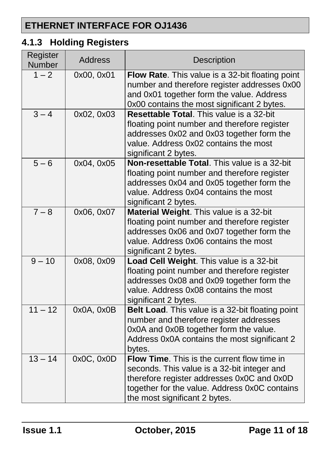## <span id="page-10-0"></span>**4.1.3 Holding Registers**

| Register<br>Number | <b>Address</b> | <b>Description</b>                                                                                                                                                                                                         |
|--------------------|----------------|----------------------------------------------------------------------------------------------------------------------------------------------------------------------------------------------------------------------------|
| $1 - 2$            | 0x00, 0x01     | Flow Rate. This value is a 32-bit floating point<br>number and therefore register addresses 0x00<br>and 0x01 together form the value. Address<br>0x00 contains the most significant 2 bytes.                               |
| $3 - 4$            | 0x02, 0x03     | <b>Resettable Total.</b> This value is a 32-bit<br>floating point number and therefore register<br>addresses 0x02 and 0x03 together form the<br>value. Address 0x02 contains the most<br>significant 2 bytes.              |
| $5 - 6$            | 0x04, 0x05     | Non-resettable Total. This value is a 32-bit<br>floating point number and therefore register<br>addresses 0x04 and 0x05 together form the<br>value. Address 0x04 contains the most<br>significant 2 bytes.                 |
| $7 - 8$            | 0x06, 0x07     | Material Weight. This value is a 32-bit<br>floating point number and therefore register<br>addresses 0x06 and 0x07 together form the<br>value. Address 0x06 contains the most<br>significant 2 bytes.                      |
| $9 - 10$           | 0x08, 0x09     | Load Cell Weight. This value is a 32-bit<br>floating point number and therefore register<br>addresses 0x08 and 0x09 together form the<br>value. Address 0x08 contains the most<br>significant 2 bytes.                     |
| $11 - 12$          | 0x0A, 0x0B     | Belt Load. This value is a 32-bit floating point<br>number and therefore register addresses<br>0x0A and 0x0B together form the value.<br>Address 0x0A contains the most significant 2<br>bytes.                            |
| $13 - 14$          | 0x0C, 0x0D     | Flow Time. This is the current flow time in<br>seconds. This value is a 32-bit integer and<br>therefore register addresses 0x0C and 0x0D<br>together for the value. Address 0x0C contains<br>the most significant 2 bytes. |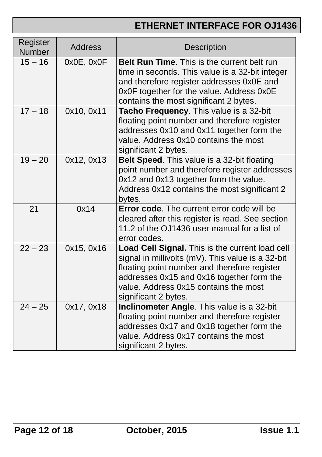| Register<br>Number | <b>Address</b> | <b>Description</b>                                                                                                                                                                                                                                                 |
|--------------------|----------------|--------------------------------------------------------------------------------------------------------------------------------------------------------------------------------------------------------------------------------------------------------------------|
| $15 - 16$          | 0x0E, 0x0F     | <b>Belt Run Time.</b> This is the current belt run<br>time in seconds. This value is a 32-bit integer<br>and therefore register addresses 0x0E and<br>0x0F together for the value. Address 0x0E<br>contains the most significant 2 bytes.                          |
| $17 - 18$          | 0x10, 0x11     | Tacho Frequency. This value is a 32-bit<br>floating point number and therefore register<br>addresses 0x10 and 0x11 together form the<br>value. Address 0x10 contains the most<br>significant 2 bytes.                                                              |
| $19 - 20$          | 0x12, 0x13     | Belt Speed. This value is a 32-bit floating<br>point number and therefore register addresses<br>0x12 and 0x13 together form the value.<br>Address 0x12 contains the most significant 2<br>bytes.                                                                   |
| 21                 | 0x14           | <b>Error code.</b> The current error code will be<br>cleared after this register is read. See section<br>11.2 of the OJ1436 user manual for a list of<br>error codes.                                                                                              |
| $22 - 23$          | 0x15, 0x16     | Load Cell Signal. This is the current load cell<br>signal in millivolts (mV). This value is a 32-bit<br>floating point number and therefore register<br>addresses 0x15 and 0x16 together form the<br>value. Address 0x15 contains the most<br>significant 2 bytes. |
| $24 - 25$          | 0x17, 0x18     | Inclinometer Angle. This value is a 32-bit<br>floating point number and therefore register<br>addresses 0x17 and 0x18 together form the<br>value. Address 0x17 contains the most<br>significant 2 bytes.                                                           |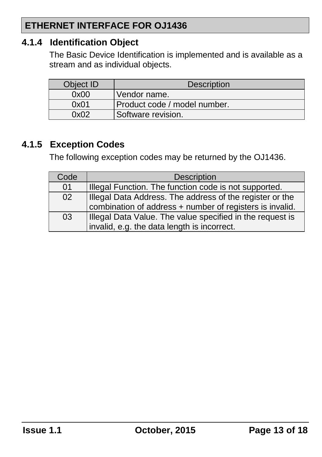#### <span id="page-12-0"></span>**4.1.4 Identification Object**

The Basic Device Identification is implemented and is available as a stream and as individual objects.

| Object ID | <b>Description</b>           |
|-----------|------------------------------|
| 0x00      | Vendor name.                 |
| 0x01      | Product code / model number. |
| 0x02      | Software revision.           |

### <span id="page-12-1"></span>**4.1.5 Exception Codes**

The following exception codes may be returned by the OJ1436.

| Code | <b>Description</b>                                                                                                   |
|------|----------------------------------------------------------------------------------------------------------------------|
| 01   | Illegal Function. The function code is not supported.                                                                |
| 02   | Illegal Data Address. The address of the register or the<br>combination of address + number of registers is invalid. |
| 03   | Illegal Data Value. The value specified in the request is<br>invalid, e.g. the data length is incorrect.             |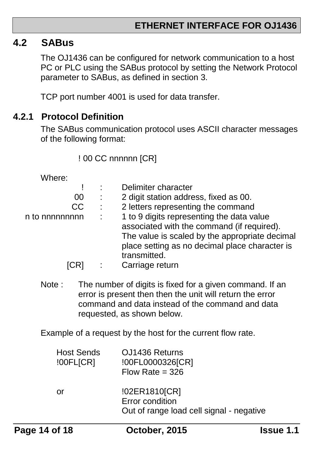#### <span id="page-13-0"></span>**4.2 SABus**

The OJ1436 can be configured for network communication to a host PC or PLC using the SABus protocol by setting the Network Protocol parameter to SABus, as defined in section [3.](#page-6-0)

TCP port number 4001 is used for data transfer.

#### <span id="page-13-1"></span>**4.2.1 Protocol Definition**

The SABus communication protocol uses ASCII character messages of the following format:

! 00 CC nnnnnn [CR]

Where:

|                |                           | Delimiter character                            |
|----------------|---------------------------|------------------------------------------------|
| 00             | ÷                         | 2 digit station address, fixed as 00.          |
| CC             | $\sim 100$                | 2 letters representing the command             |
| n to nnnnnnnnn | $\mathbb{Z}^{\mathbb{Z}}$ | 1 to 9 digits representing the data value      |
|                |                           | associated with the command (if required).     |
|                |                           | The value is scaled by the appropriate decimal |
|                |                           | place setting as no decimal place character is |
|                |                           | transmitted.                                   |
|                |                           | Carriage return                                |

Note : The number of digits is fixed for a given command. If an error is present then then the unit will return the error command and data instead of the command and data requested, as shown below.

Example of a request by the host for the current flow rate.

| <b>Host Sends</b><br>100FL[CR] | OJ1436 Returns<br>!00FL0000326[CR]<br>Flow Rate = $326$                      |
|--------------------------------|------------------------------------------------------------------------------|
| or                             | !02ER1810[CR]<br>Error condition<br>Out of range load cell signal - negative |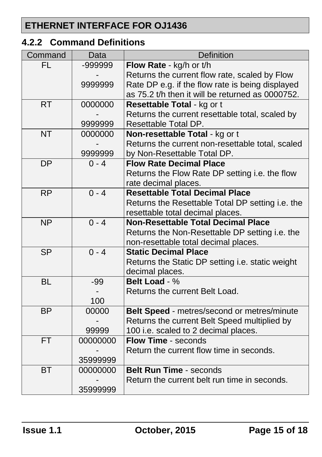### <span id="page-14-0"></span>**4.2.2 Command Definitions**

| Command                  | Data     | Definition                                       |  |  |
|--------------------------|----------|--------------------------------------------------|--|--|
| FL                       | -999999  | Flow Rate - kg/h or t/h                          |  |  |
|                          |          | Returns the current flow rate, scaled by Flow    |  |  |
|                          | 9999999  | Rate DP e.g. if the flow rate is being displayed |  |  |
|                          |          | as 75.2 t/h then it will be returned as 0000752. |  |  |
| <b>RT</b>                | 0000000  | Resettable Total - kg or t                       |  |  |
|                          |          | Returns the current resettable total, scaled by  |  |  |
|                          | 9999999  | Resettable Total DP.                             |  |  |
| <b>NT</b>                | 0000000  | Non-resettable Total - kg or t                   |  |  |
|                          |          | Returns the current non-resettable total, scaled |  |  |
|                          | 9999999  | by Non-Resettable Total DP.                      |  |  |
| <b>DP</b>                | $0 - 4$  | <b>Flow Rate Decimal Place</b>                   |  |  |
|                          |          | Returns the Flow Rate DP setting i.e. the flow   |  |  |
|                          |          | rate decimal places.                             |  |  |
| <b>RP</b>                | $0 - 4$  | <b>Resettable Total Decimal Place</b>            |  |  |
|                          |          | Returns the Resettable Total DP setting i.e. the |  |  |
|                          |          | resettable total decimal places.                 |  |  |
| <b>NP</b>                | $0 - 4$  | <b>Non-Resettable Total Decimal Place</b>        |  |  |
|                          |          | Returns the Non-Resettable DP setting i.e. the   |  |  |
|                          |          | non-resettable total decimal places.             |  |  |
| $\overline{\mathsf{SP}}$ | $0 - 4$  | <b>Static Decimal Place</b>                      |  |  |
|                          |          | Returns the Static DP setting i.e. static weight |  |  |
|                          |          | decimal places.                                  |  |  |
| <b>BL</b>                | $-99$    | Belt Load - %                                    |  |  |
|                          |          | Returns the current Belt Load.                   |  |  |
|                          | 100      |                                                  |  |  |
| <b>BP</b>                | 00000    | Belt Speed - metres/second or metres/minute      |  |  |
|                          |          | Returns the current Belt Speed multiplied by     |  |  |
|                          | 99999    | 100 i.e. scaled to 2 decimal places.             |  |  |
| <b>FT</b>                | 00000000 | <b>Flow Time - seconds</b>                       |  |  |
|                          |          | Return the current flow time in seconds.         |  |  |
|                          | 35999999 |                                                  |  |  |
| <b>BT</b>                | 00000000 | <b>Belt Run Time - seconds</b>                   |  |  |
|                          |          | Return the current belt run time in seconds.     |  |  |
|                          | 35999999 |                                                  |  |  |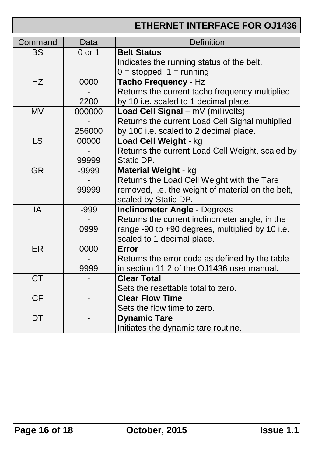| Command                | Data   | <b>Definition</b>                                 |  |  |
|------------------------|--------|---------------------------------------------------|--|--|
| <b>BS</b>              | 0 or 1 | <b>Belt Status</b>                                |  |  |
|                        |        | Indicates the running status of the belt.         |  |  |
|                        |        | $0 =$ stopped, $1 =$ running                      |  |  |
| <b>HZ</b>              | 0000   | Tacho Frequency - Hz                              |  |  |
|                        |        | Returns the current tacho frequency multiplied    |  |  |
|                        | 2200   | by 10 i.e. scaled to 1 decimal place.             |  |  |
| <b>MV</b>              | 000000 | Load Cell Signal - mV (millivolts)                |  |  |
|                        |        | Returns the current Load Cell Signal multiplied   |  |  |
|                        | 256000 | by 100 i.e. scaled to 2 decimal place.            |  |  |
| <b>LS</b>              | 00000  | Load Cell Weight - kg                             |  |  |
|                        |        | Returns the current Load Cell Weight, scaled by   |  |  |
|                        | 99999  | Static DP.                                        |  |  |
| $\overline{\text{GR}}$ | -9999  | Material Weight - kg                              |  |  |
|                        |        | Returns the Load Cell Weight with the Tare        |  |  |
|                        | 99999  | removed, i.e. the weight of material on the belt, |  |  |
|                        |        | scaled by Static DP.                              |  |  |
| IA                     | $-999$ | <b>Inclinometer Angle - Degrees</b>               |  |  |
|                        |        | Returns the current inclinometer angle, in the    |  |  |
|                        | 0999   | range -90 to +90 degrees, multiplied by 10 i.e.   |  |  |
|                        |        | scaled to 1 decimal place.                        |  |  |
| ER                     | 0000   | Error                                             |  |  |
|                        |        | Returns the error code as defined by the table    |  |  |
|                        | 9999   | in section 11.2 of the OJ1436 user manual.        |  |  |
| <b>CT</b>              |        | <b>Clear Total</b>                                |  |  |
|                        |        | Sets the resettable total to zero.                |  |  |
| <b>CF</b>              |        | <b>Clear Flow Time</b>                            |  |  |
|                        |        | Sets the flow time to zero.                       |  |  |
| DT                     |        | <b>Dynamic Tare</b>                               |  |  |
|                        |        | Initiates the dynamic tare routine.               |  |  |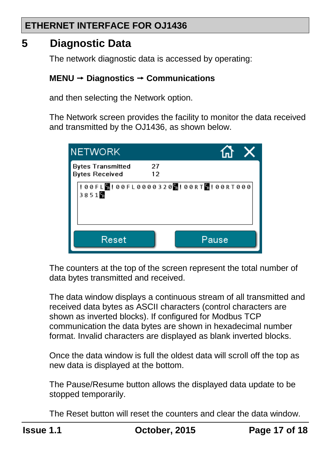### <span id="page-16-0"></span>**5 Diagnostic Data**

The network diagnostic data is accessed by operating:

#### **MENU Diagnostics Communications**

and then selecting the Network option.

The Network screen provides the facility to monitor the data received and transmitted by the OJ1436, as shown below.

| <b>NETWORK</b>                                    |                                                        |  |
|---------------------------------------------------|--------------------------------------------------------|--|
| <b>Bytes Transmitted</b><br><b>Bytes Received</b> | 27<br>12                                               |  |
| 3851                                              | ! 00 F L     00 F L 00 00 3 2 0   00 R T   00 R T 00 0 |  |
| Reset                                             | Pause                                                  |  |

The counters at the top of the screen represent the total number of data bytes transmitted and received.

The data window displays a continuous stream of all transmitted and received data bytes as ASCII characters (control characters are shown as inverted blocks). If configured for Modbus TCP communication the data bytes are shown in hexadecimal number format. Invalid characters are displayed as blank inverted blocks.

Once the data window is full the oldest data will scroll off the top as new data is displayed at the bottom.

The Pause/Resume button allows the displayed data update to be stopped temporarily.

The Reset button will reset the counters and clear the data window.